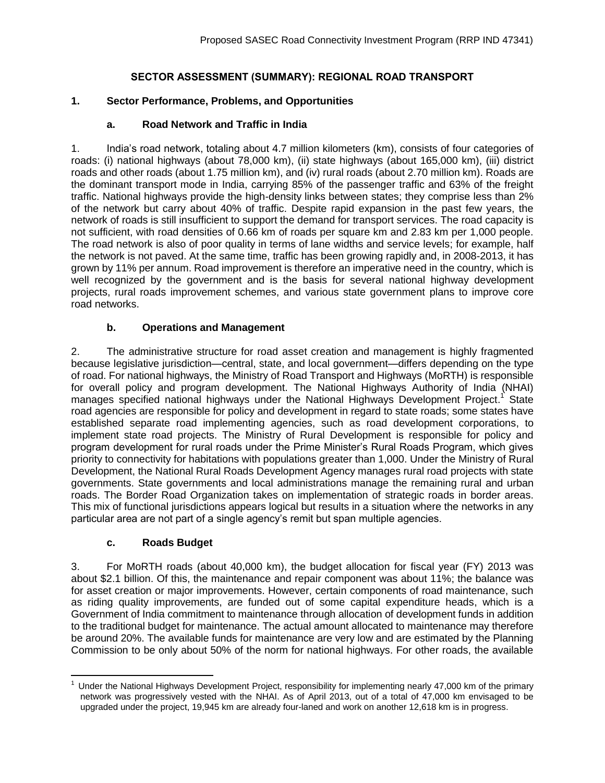## **SECTOR ASSESSMENT (SUMMARY): REGIONAL ROAD TRANSPORT**

### **1. Sector Performance, Problems, and Opportunities**

### **a. Road Network and Traffic in India**

1. India's road network, totaling about 4.7 million kilometers (km), consists of four categories of roads: (i) national highways (about 78,000 km), (ii) state highways (about 165,000 km), (iii) district roads and other roads (about 1.75 million km), and (iv) rural roads (about 2.70 million km). Roads are the dominant transport mode in India, carrying 85% of the passenger traffic and 63% of the freight traffic. National highways provide the high-density links between states; they comprise less than 2% of the network but carry about 40% of traffic. Despite rapid expansion in the past few years, the network of roads is still insufficient to support the demand for transport services. The road capacity is not sufficient, with road densities of 0.66 km of roads per square km and 2.83 km per 1,000 people. The road network is also of poor quality in terms of lane widths and service levels; for example, half the network is not paved. At the same time, traffic has been growing rapidly and, in 2008-2013, it has grown by 11% per annum. Road improvement is therefore an imperative need in the country, which is well recognized by the government and is the basis for several national highway development projects, rural roads improvement schemes, and various state government plans to improve core road networks.

### **b. Operations and Management**

2. The administrative structure for road asset creation and management is highly fragmented because legislative jurisdiction—central, state, and local government—differs depending on the type of road. For national highways, the Ministry of Road Transport and Highways (MoRTH) is responsible for overall policy and program development. The National Highways Authority of India (NHAI) manages specified national highways under the National Highways Development Project.<sup>1</sup> State road agencies are responsible for policy and development in regard to state roads; some states have established separate road implementing agencies, such as road development corporations, to implement state road projects. The Ministry of Rural Development is responsible for policy and program development for rural roads under the Prime Minister's Rural Roads Program, which gives priority to connectivity for habitations with populations greater than 1,000. Under the Ministry of Rural Development, the National Rural Roads Development Agency manages rural road projects with state governments. State governments and local administrations manage the remaining rural and urban roads. The Border Road Organization takes on implementation of strategic roads in border areas. This mix of functional jurisdictions appears logical but results in a situation where the networks in any particular area are not part of a single agency's remit but span multiple agencies.

#### **c. Roads Budget**

3. For MoRTH roads (about 40,000 km), the budget allocation for fiscal year (FY) 2013 was about \$2.1 billion. Of this, the maintenance and repair component was about 11%; the balance was for asset creation or major improvements. However, certain components of road maintenance, such as riding quality improvements, are funded out of some capital expenditure heads, which is a Government of India commitment to maintenance through allocation of development funds in addition to the traditional budget for maintenance. The actual amount allocated to maintenance may therefore be around 20%. The available funds for maintenance are very low and are estimated by the Planning Commission to be only about 50% of the norm for national highways. For other roads, the available

 $\overline{a}$  $1$  Under the National Highways Development Project, responsibility for implementing nearly 47,000 km of the primary network was progressively vested with the NHAI. As of April 2013, out of a total of 47,000 km envisaged to be upgraded under the project, 19,945 km are already four-laned and work on another 12,618 km is in progress.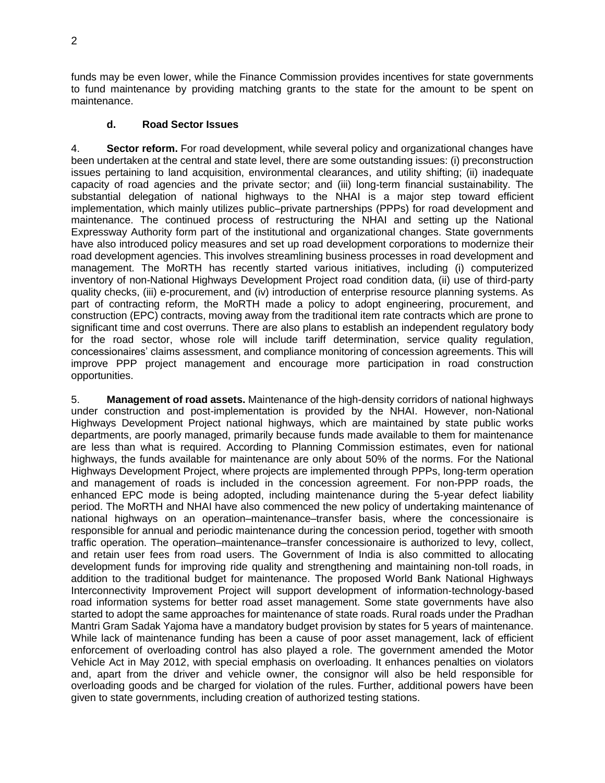funds may be even lower, while the Finance Commission provides incentives for state governments to fund maintenance by providing matching grants to the state for the amount to be spent on maintenance.

# **d. Road Sector Issues**

4. **Sector reform.** For road development, while several policy and organizational changes have been undertaken at the central and state level, there are some outstanding issues: (i) preconstruction issues pertaining to land acquisition, environmental clearances, and utility shifting; (ii) inadequate capacity of road agencies and the private sector; and (iii) long-term financial sustainability. The substantial delegation of national highways to the NHAI is a major step toward efficient implementation, which mainly utilizes public–private partnerships (PPPs) for road development and maintenance. The continued process of restructuring the NHAI and setting up the National Expressway Authority form part of the institutional and organizational changes. State governments have also introduced policy measures and set up road development corporations to modernize their road development agencies. This involves streamlining business processes in road development and management. The MoRTH has recently started various initiatives, including (i) computerized inventory of non-National Highways Development Project road condition data, (ii) use of third-party quality checks, (iii) e-procurement, and (iv) introduction of enterprise resource planning systems. As part of contracting reform, the MoRTH made a policy to adopt engineering, procurement, and construction (EPC) contracts, moving away from the traditional item rate contracts which are prone to significant time and cost overruns. There are also plans to establish an independent regulatory body for the road sector, whose role will include tariff determination, service quality regulation, concessionaires' claims assessment, and compliance monitoring of concession agreements. This will improve PPP project management and encourage more participation in road construction opportunities.

5. **Management of road assets.** Maintenance of the high-density corridors of national highways under construction and post-implementation is provided by the NHAI. However, non-National Highways Development Project national highways, which are maintained by state public works departments, are poorly managed, primarily because funds made available to them for maintenance are less than what is required. According to Planning Commission estimates, even for national highways, the funds available for maintenance are only about 50% of the norms. For the National Highways Development Project, where projects are implemented through PPPs, long-term operation and management of roads is included in the concession agreement. For non-PPP roads, the enhanced EPC mode is being adopted, including maintenance during the 5-year defect liability period. The MoRTH and NHAI have also commenced the new policy of undertaking maintenance of national highways on an operation–maintenance–transfer basis, where the concessionaire is responsible for annual and periodic maintenance during the concession period, together with smooth traffic operation. The operation–maintenance–transfer concessionaire is authorized to levy, collect, and retain user fees from road users. The Government of India is also committed to allocating development funds for improving ride quality and strengthening and maintaining non-toll roads, in addition to the traditional budget for maintenance. The proposed World Bank National Highways Interconnectivity Improvement Project will support development of information-technology-based road information systems for better road asset management. Some state governments have also started to adopt the same approaches for maintenance of state roads. Rural roads under the Pradhan Mantri Gram Sadak Yajoma have a mandatory budget provision by states for 5 years of maintenance. While lack of maintenance funding has been a cause of poor asset management, lack of efficient enforcement of overloading control has also played a role. The government amended the Motor Vehicle Act in May 2012, with special emphasis on overloading. It enhances penalties on violators and, apart from the driver and vehicle owner, the consignor will also be held responsible for overloading goods and be charged for violation of the rules. Further, additional powers have been given to state governments, including creation of authorized testing stations.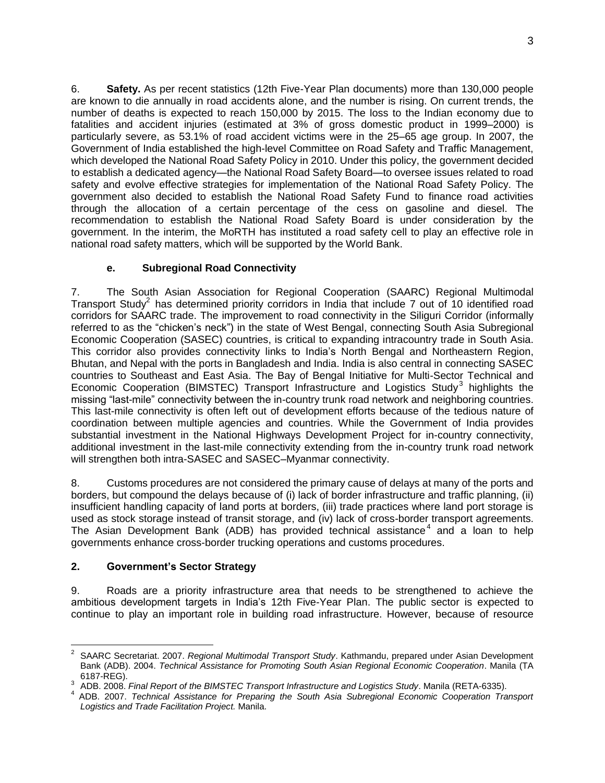6. **Safety.** As per recent statistics (12th Five-Year Plan documents) more than 130,000 people are known to die annually in road accidents alone, and the number is rising. On current trends, the number of deaths is expected to reach 150,000 by 2015. The loss to the Indian economy due to fatalities and accident injuries (estimated at 3% of gross domestic product in 1999–2000) is particularly severe, as 53.1% of road accident victims were in the 25–65 age group. In 2007, the Government of India established the high-level Committee on Road Safety and Traffic Management, which developed the National Road Safety Policy in 2010. Under this policy, the government decided to establish a dedicated agency—the National Road Safety Board—to oversee issues related to road safety and evolve effective strategies for implementation of the National Road Safety Policy. The government also decided to establish the National Road Safety Fund to finance road activities through the allocation of a certain percentage of the cess on gasoline and diesel. The recommendation to establish the National Road Safety Board is under consideration by the government. In the interim, the MoRTH has instituted a road safety cell to play an effective role in national road safety matters, which will be supported by the World Bank.

## **e. Subregional Road Connectivity**

7. The South Asian Association for Regional Cooperation (SAARC) Regional Multimodal Transport Study<sup>2</sup> has determined priority corridors in India that include 7 out of 10 identified road corridors for SAARC trade. The improvement to road connectivity in the Siliguri Corridor (informally referred to as the "chicken's neck") in the state of West Bengal, connecting South Asia Subregional Economic Cooperation (SASEC) countries, is critical to expanding intracountry trade in South Asia. This corridor also provides connectivity links to India's North Bengal and Northeastern Region, Bhutan, and Nepal with the ports in Bangladesh and India. India is also central in connecting SASEC countries to Southeast and East Asia. The Bay of Bengal Initiative for Multi-Sector Technical and Economic Cooperation (BIMSTEC) Transport Infrastructure and Logistics Study<sup>3</sup> highlights the missing "last-mile" connectivity between the in-country trunk road network and neighboring countries. This last-mile connectivity is often left out of development efforts because of the tedious nature of coordination between multiple agencies and countries. While the Government of India provides substantial investment in the National Highways Development Project for in-country connectivity, additional investment in the last-mile connectivity extending from the in-country trunk road network will strengthen both intra-SASEC and SASEC–Myanmar connectivity.

8. Customs procedures are not considered the primary cause of delays at many of the ports and borders, but compound the delays because of (i) lack of border infrastructure and traffic planning, (ii) insufficient handling capacity of land ports at borders, (iii) trade practices where land port storage is used as stock storage instead of transit storage, and (iv) lack of cross-border transport agreements. The Asian Development Bank (ADB) has provided technical assistance<sup>4</sup> and a loan to help governments enhance cross-border trucking operations and customs procedures.

#### **2. Government's Sector Strategy**

9. Roads are a priority infrastructure area that needs to be strengthened to achieve the ambitious development targets in India's 12th Five-Year Plan. The public sector is expected to continue to play an important role in building road infrastructure. However, because of resource

 2 SAARC Secretariat. 2007. *Regional Multimodal Transport Study*. Kathmandu, prepared under Asian Development Bank (ADB). 2004. *Technical Assistance for Promoting South Asian Regional Economic Cooperation*. Manila (TA 6187-REG).

<sup>3</sup> ADB. 2008. *Final Report of the BIMSTEC Transport Infrastructure and Logistics Study*. Manila (RETA-6335).

<sup>4</sup> ADB. 2007. *Technical Assistance for Preparing the South Asia Subregional Economic Cooperation Transport Logistics and Trade Facilitation Project.* Manila.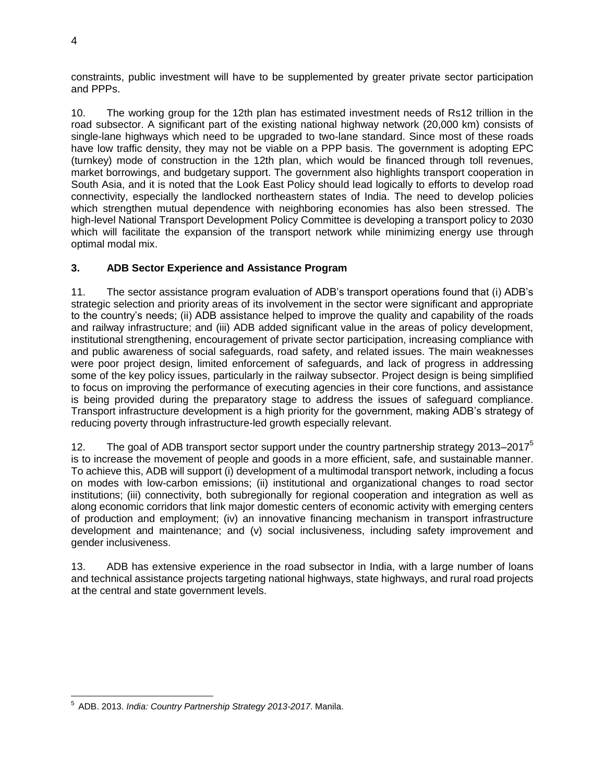constraints, public investment will have to be supplemented by greater private sector participation and PPPs.

10. The working group for the 12th plan has estimated investment needs of Rs12 trillion in the road subsector. A significant part of the existing national highway network (20,000 km) consists of single-lane highways which need to be upgraded to two-lane standard. Since most of these roads have low traffic density, they may not be viable on a PPP basis. The government is adopting EPC (turnkey) mode of construction in the 12th plan, which would be financed through toll revenues, market borrowings, and budgetary support. The government also highlights transport cooperation in South Asia, and it is noted that the Look East Policy should lead logically to efforts to develop road connectivity, especially the landlocked northeastern states of India. The need to develop policies which strengthen mutual dependence with neighboring economies has also been stressed. The high-level National Transport Development Policy Committee is developing a transport policy to 2030 which will facilitate the expansion of the transport network while minimizing energy use through optimal modal mix.

## **3. ADB Sector Experience and Assistance Program**

11. The sector assistance program evaluation of ADB's transport operations found that (i) ADB's strategic selection and priority areas of its involvement in the sector were significant and appropriate to the country's needs; (ii) ADB assistance helped to improve the quality and capability of the roads and railway infrastructure; and (iii) ADB added significant value in the areas of policy development, institutional strengthening, encouragement of private sector participation, increasing compliance with and public awareness of social safeguards, road safety, and related issues. The main weaknesses were poor project design, limited enforcement of safeguards, and lack of progress in addressing some of the key policy issues, particularly in the railway subsector. Project design is being simplified to focus on improving the performance of executing agencies in their core functions, and assistance is being provided during the preparatory stage to address the issues of safeguard compliance. Transport infrastructure development is a high priority for the government, making ADB's strategy of reducing poverty through infrastructure-led growth especially relevant.

12. The goal of ADB transport sector support under the country partnership strategy 2013–2017<sup>5</sup> is to increase the movement of people and goods in a more efficient, safe, and sustainable manner. To achieve this, ADB will support (i) development of a multimodal transport network, including a focus on modes with low-carbon emissions; (ii) institutional and organizational changes to road sector institutions; (iii) connectivity, both subregionally for regional cooperation and integration as well as along economic corridors that link major domestic centers of economic activity with emerging centers of production and employment; (iv) an innovative financing mechanism in transport infrastructure development and maintenance; and (v) social inclusiveness, including safety improvement and gender inclusiveness.

13. ADB has extensive experience in the road subsector in India, with a large number of loans and technical assistance projects targeting national highways, state highways, and rural road projects at the central and state government levels.

<sup>4</sup>

 $\overline{a}$ 5 ADB. 2013. *India: Country Partnership Strategy 2013-2017*. Manila.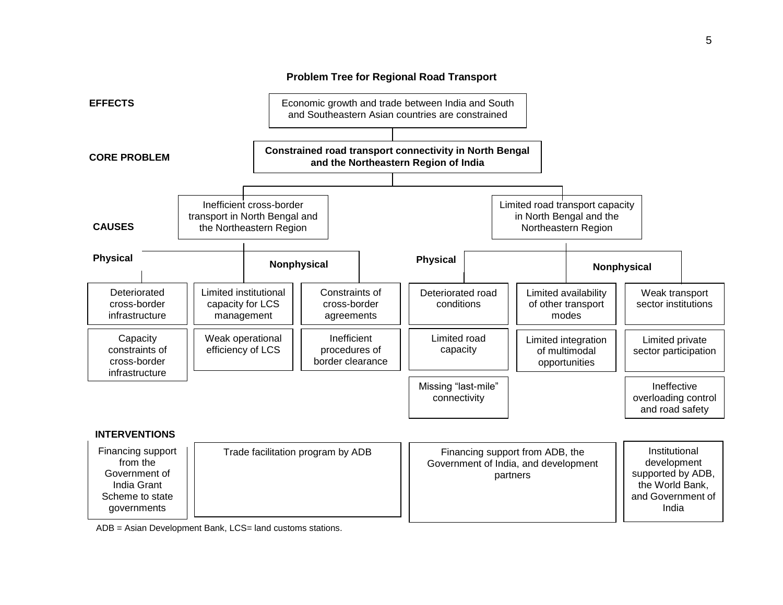

ADB = Asian Development Bank, LCS= land customs stations.